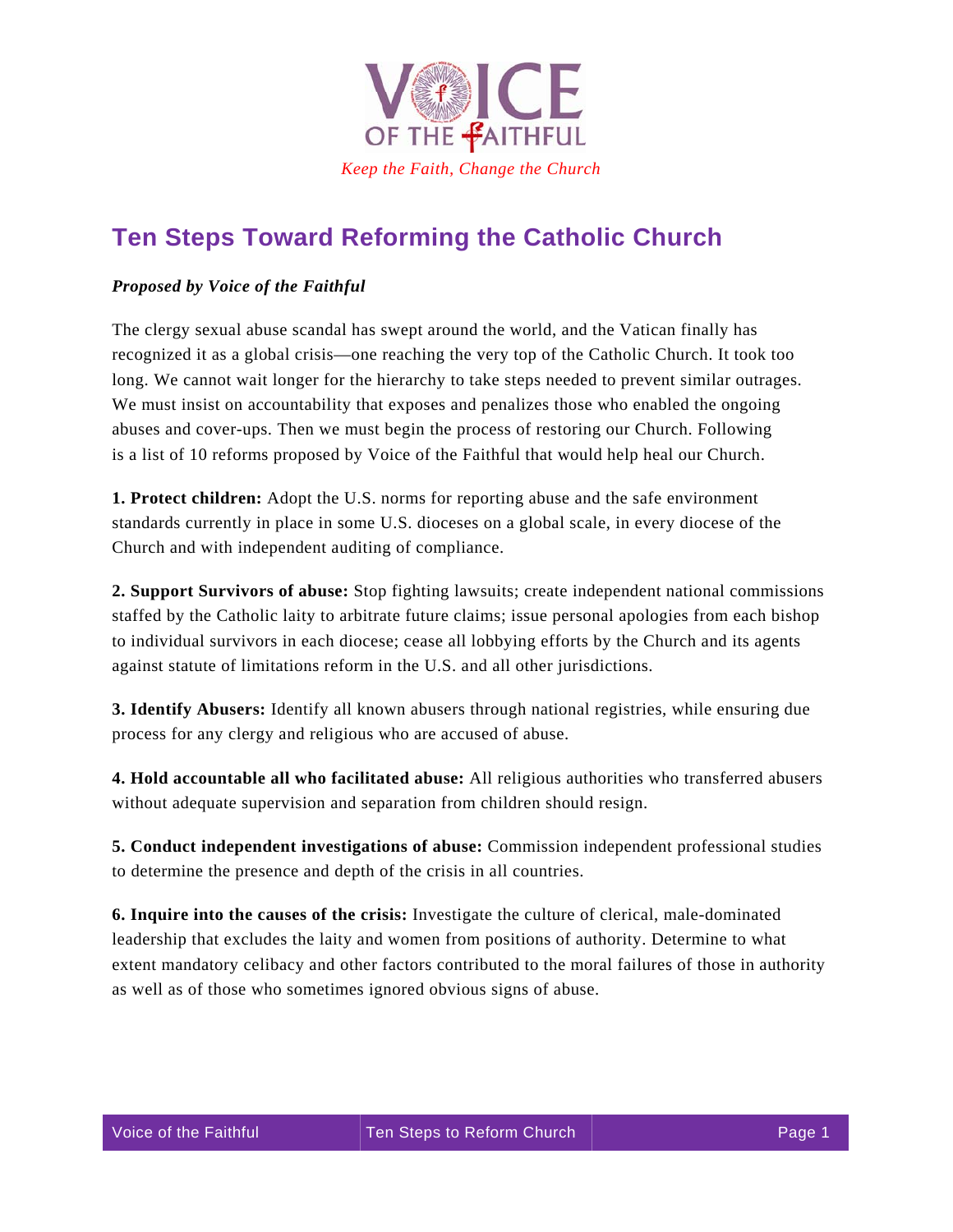

## **Ten Steps Toward Reforming the Catholic Church**

## *Proposed by Voice of the Faithful*

The clergy sexual abuse scandal has swept around the world, and the Vatican finally has recognized it as a global crisis—one reaching the very top of the Catholic Church. It took too long. We cannot wait longer for the hierarchy to take steps needed to prevent similar outrages. We must insist on accountability that exposes and penalizes those who enabled the ongoing abuses and cover-ups. Then we must begin the process of restoring our Church. Following is a list of 10 reforms proposed by Voice of the Faithful that would help heal our Church.

**1. Protect children:** Adopt the U.S. norms for reporting abuse and the safe environment standards currently in place in some U.S. dioceses on a global scale, in every diocese of the Church and with independent auditing of compliance.

**2. Support Survivors of abuse:** Stop fighting lawsuits; create independent national commissions staffed by the Catholic laity to arbitrate future claims; issue personal apologies from each bishop to individual survivors in each diocese; cease all lobbying efforts by the Church and its agents against statute of limitations reform in the U.S. and all other jurisdictions.

**3. Identify Abusers:** Identify all known abusers through national registries, while ensuring due process for any clergy and religious who are accused of abuse.

**4. Hold accountable all who facilitated abuse:** All religious authorities who transferred abusers without adequate supervision and separation from children should resign.

**5. Conduct independent investigations of abuse:** Commission independent professional studies to determine the presence and depth of the crisis in all countries.

**6. Inquire into the causes of the crisis:** Investigate the culture of clerical, male-dominated leadership that excludes the laity and women from positions of authority. Determine to what extent mandatory celibacy and other factors contributed to the moral failures of those in authority as well as of those who sometimes ignored obvious signs of abuse.